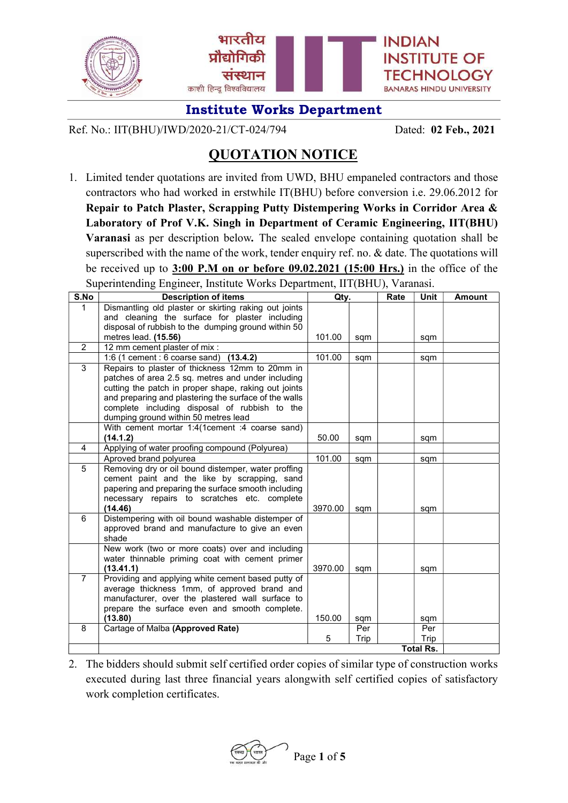

Ref. No.: IIT(BHU)/IWD/2020-21/CT-024/794 Dated: 02 Feb., 2021

# QUOTATION NOTICE

1. Limited tender quotations are invited from UWD, BHU empaneled contractors and those contractors who had worked in erstwhile IT(BHU) before conversion i.e. 29.06.2012 for Repair to Patch Plaster, Scrapping Putty Distempering Works in Corridor Area & Laboratory of Prof V.K. Singh in Department of Ceramic Engineering, IIT(BHU) Varanasi as per description below. The sealed envelope containing quotation shall be superscribed with the name of the work, tender enquiry ref. no. & date. The quotations will be received up to 3:00 P.M on or before 09.02.2021 (15:00 Hrs.) in the office of the Superintending Engineer, Institute Works Department, IIT(BHU), Varanasi.

| S.No           | <b>Description of items</b>                                                                         | Qty.             |      | Rate | Unit | <b>Amount</b> |
|----------------|-----------------------------------------------------------------------------------------------------|------------------|------|------|------|---------------|
| $\mathbf{1}$   | Dismantling old plaster or skirting raking out joints                                               |                  |      |      |      |               |
|                | and cleaning the surface for plaster including                                                      |                  |      |      |      |               |
|                | disposal of rubbish to the dumping ground within 50                                                 |                  |      |      |      |               |
|                | metres lead. (15.56)                                                                                | 101.00           | sqm  |      | sqm  |               |
| 2              | 12 mm cement plaster of mix :                                                                       |                  |      |      |      |               |
|                | 1:6 (1 cement : 6 coarse sand)<br>(13.4.2)                                                          | 101.00           | sqm  |      | sqm  |               |
| 3              | Repairs to plaster of thickness 12mm to 20mm in                                                     |                  |      |      |      |               |
|                | patches of area 2.5 sq. metres and under including                                                  |                  |      |      |      |               |
|                | cutting the patch in proper shape, raking out joints                                                |                  |      |      |      |               |
|                | and preparing and plastering the surface of the walls                                               |                  |      |      |      |               |
|                | complete including disposal of rubbish to the                                                       |                  |      |      |      |               |
|                | dumping ground within 50 metres lead                                                                |                  |      |      |      |               |
|                | With cement mortar 1:4(1cement :4 coarse sand)                                                      |                  |      |      |      |               |
|                | (14.1.2)                                                                                            | 50.00            | sqm  |      | sqm  |               |
| 4              | Applying of water proofing compound (Polyurea)                                                      |                  |      |      |      |               |
|                | Aproved brand polyurea                                                                              | 101.00           | sqm  |      | sqm  |               |
| 5              | Removing dry or oil bound distemper, water proffing                                                 |                  |      |      |      |               |
|                | cement paint and the like by scrapping, sand                                                        |                  |      |      |      |               |
|                | papering and preparing the surface smooth including                                                 |                  |      |      |      |               |
|                | necessary repairs to scratches etc. complete                                                        |                  |      |      |      |               |
| 6              | (14.46)                                                                                             | 3970.00          | sqm  |      | sqm  |               |
|                | Distempering with oil bound washable distemper of<br>approved brand and manufacture to give an even |                  |      |      |      |               |
|                | shade                                                                                               |                  |      |      |      |               |
|                | New work (two or more coats) over and including                                                     |                  |      |      |      |               |
|                | water thinnable priming coat with cement primer                                                     |                  |      |      |      |               |
|                | (13.41.1)                                                                                           | 3970.00          | sqm  |      | sqm  |               |
| $\overline{7}$ | Providing and applying white cement based putty of                                                  |                  |      |      |      |               |
|                | average thickness 1mm, of approved brand and                                                        |                  |      |      |      |               |
|                | manufacturer, over the plastered wall surface to                                                    |                  |      |      |      |               |
|                | prepare the surface even and smooth complete.                                                       |                  |      |      |      |               |
|                | (13.80)                                                                                             | 150.00           | sqm  |      | sqm  |               |
| 8              | Cartage of Malba (Approved Rate)                                                                    |                  | Per  |      | Per  |               |
|                |                                                                                                     | 5                | Trip |      | Trip |               |
|                |                                                                                                     | <b>Total Rs.</b> |      |      |      |               |

2. The bidders should submit self certified order copies of similar type of construction works executed during last three financial years alongwith self certified copies of satisfactory work completion certificates.

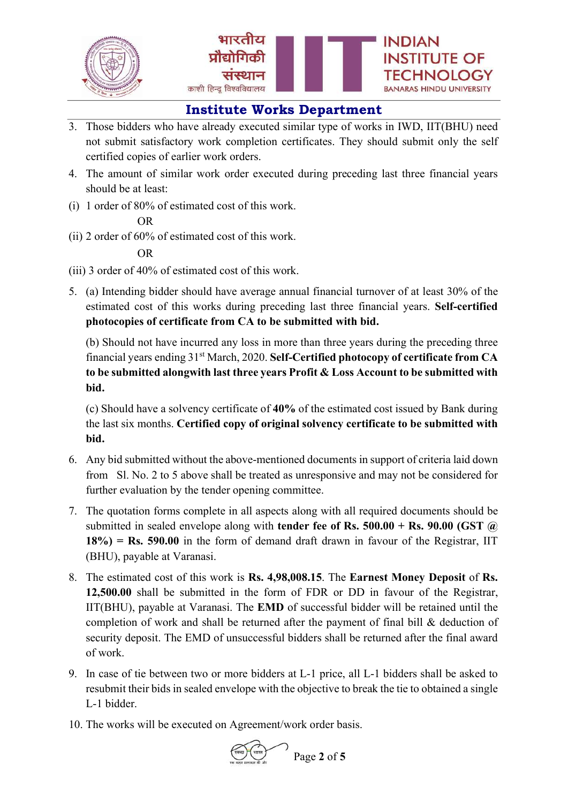



- 3. Those bidders who have already executed similar type of works in IWD, IIT(BHU) need not submit satisfactory work completion certificates. They should submit only the self certified copies of earlier work orders.
- 4. The amount of similar work order executed during preceding last three financial years should be at least:
- (i) 1 order of 80% of estimated cost of this work.

#### OR

(ii) 2 order of 60% of estimated cost of this work.

### OR

- (iii) 3 order of 40% of estimated cost of this work.
- 5. (a) Intending bidder should have average annual financial turnover of at least 30% of the estimated cost of this works during preceding last three financial years. Self-certified photocopies of certificate from CA to be submitted with bid.

 (b) Should not have incurred any loss in more than three years during the preceding three financial years ending 31st March, 2020. Self-Certified photocopy of certificate from CA to be submitted alongwith last three years Profit & Loss Account to be submitted with bid.

 (c) Should have a solvency certificate of 40% of the estimated cost issued by Bank during the last six months. Certified copy of original solvency certificate to be submitted with bid.

- 6. Any bid submitted without the above-mentioned documents in support of criteria laid down from Sl. No. 2 to 5 above shall be treated as unresponsive and may not be considered for further evaluation by the tender opening committee.
- 7. The quotation forms complete in all aspects along with all required documents should be submitted in sealed envelope along with **tender fee of Rs. 500.00 + Rs. 90.00 (GST**  $\omega$ )  $18\%$ ) = Rs. 590.00 in the form of demand draft drawn in favour of the Registrar, IIT (BHU), payable at Varanasi.
- 8. The estimated cost of this work is Rs. 4,98,008.15. The Earnest Money Deposit of Rs. 12,500.00 shall be submitted in the form of FDR or DD in favour of the Registrar, IIT(BHU), payable at Varanasi. The EMD of successful bidder will be retained until the completion of work and shall be returned after the payment of final bill & deduction of security deposit. The EMD of unsuccessful bidders shall be returned after the final award of work.
- 9. In case of tie between two or more bidders at L-1 price, all L-1 bidders shall be asked to resubmit their bids in sealed envelope with the objective to break the tie to obtained a single L-1 bidder.
- 10. The works will be executed on Agreement/work order basis.

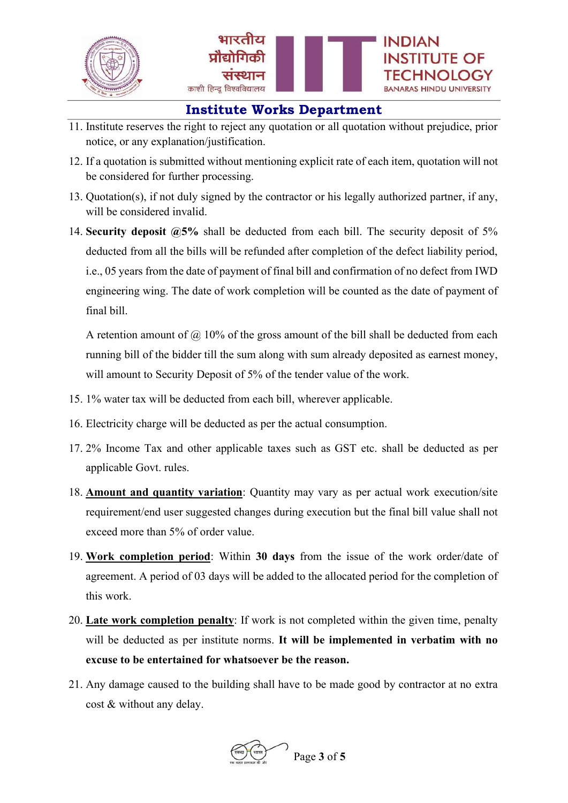

INDIAN

**INSTITUTE OF** 

BANARAS HINDU UNIVERSITY

- 11. Institute reserves the right to reject any quotation or all quotation without prejudice, prior notice, or any explanation/justification.
- 12. If a quotation is submitted without mentioning explicit rate of each item, quotation will not be considered for further processing.
- 13. Quotation(s), if not duly signed by the contractor or his legally authorized partner, if any, will be considered invalid.
- 14. Security deposit  $(2.5\%$  shall be deducted from each bill. The security deposit of 5% deducted from all the bills will be refunded after completion of the defect liability period, i.e., 05 years from the date of payment of final bill and confirmation of no defect from IWD engineering wing. The date of work completion will be counted as the date of payment of final bill.

A retention amount of  $\omega$  10% of the gross amount of the bill shall be deducted from each running bill of the bidder till the sum along with sum already deposited as earnest money, will amount to Security Deposit of 5% of the tender value of the work.

- 15. 1% water tax will be deducted from each bill, wherever applicable.
- 16. Electricity charge will be deducted as per the actual consumption.
- 17. 2% Income Tax and other applicable taxes such as GST etc. shall be deducted as per applicable Govt. rules.
- 18. Amount and quantity variation: Quantity may vary as per actual work execution/site requirement/end user suggested changes during execution but the final bill value shall not exceed more than 5% of order value.
- 19. Work completion period: Within 30 days from the issue of the work order/date of agreement. A period of 03 days will be added to the allocated period for the completion of this work.
- 20. Late work completion penalty: If work is not completed within the given time, penalty will be deducted as per institute norms. It will be implemented in verbatim with no excuse to be entertained for whatsoever be the reason.
- 21. Any damage caused to the building shall have to be made good by contractor at no extra cost & without any delay.

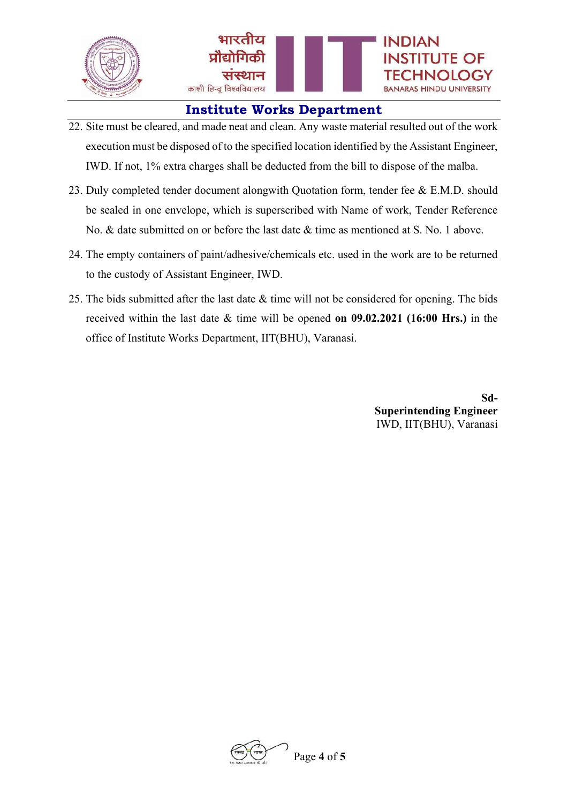

- 22. Site must be cleared, and made neat and clean. Any waste material resulted out of the work execution must be disposed of to the specified location identified by the Assistant Engineer, IWD. If not, 1% extra charges shall be deducted from the bill to dispose of the malba.
- 23. Duly completed tender document alongwith Quotation form, tender fee & E.M.D. should be sealed in one envelope, which is superscribed with Name of work, Tender Reference No. & date submitted on or before the last date & time as mentioned at S. No. 1 above.
- 24. The empty containers of paint/adhesive/chemicals etc. used in the work are to be returned to the custody of Assistant Engineer, IWD.
- 25. The bids submitted after the last date  $\&$  time will not be considered for opening. The bids received within the last date & time will be opened on 09.02.2021 (16:00 Hrs.) in the office of Institute Works Department, IIT(BHU), Varanasi.

Sd-Superintending Engineer IWD, IIT(BHU), Varanasi